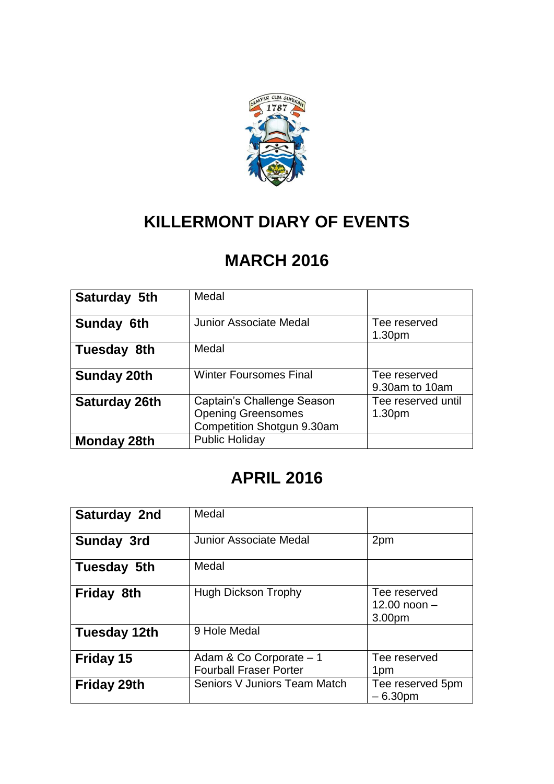

# **KILLERMONT DIARY OF EVENTS**

# **MARCH 2016**

| Saturday 5th         | Medal                                                                                 |                                          |
|----------------------|---------------------------------------------------------------------------------------|------------------------------------------|
| Sunday 6th           | Junior Associate Medal                                                                | Tee reserved<br>1.30 <sub>pm</sub>       |
| Tuesday 8th          | Medal                                                                                 |                                          |
| <b>Sunday 20th</b>   | <b>Winter Foursomes Final</b>                                                         | Tee reserved<br>9.30am to 10am           |
| <b>Saturday 26th</b> | Captain's Challenge Season<br><b>Opening Greensomes</b><br>Competition Shotgun 9.30am | Tee reserved until<br>1.30 <sub>pm</sub> |
| <b>Monday 28th</b>   | <b>Public Holiday</b>                                                                 |                                          |

# **APRIL 2016**

| Saturday 2nd        | Medal                                                    |                                          |
|---------------------|----------------------------------------------------------|------------------------------------------|
| <b>Sunday 3rd</b>   | <b>Junior Associate Medal</b>                            | 2pm                                      |
| Tuesday 5th         | Medal                                                    |                                          |
| <b>Friday 8th</b>   | <b>Hugh Dickson Trophy</b>                               | Tee reserved<br>12.00 noon $-$<br>3.00pm |
| <b>Tuesday 12th</b> | 9 Hole Medal                                             |                                          |
| Friday 15           | Adam & Co Corporate - 1<br><b>Fourball Fraser Porter</b> | Tee reserved<br>1pm                      |
| <b>Friday 29th</b>  | Seniors V Juniors Team Match                             | Tee reserved 5pm<br>$-6.30pm$            |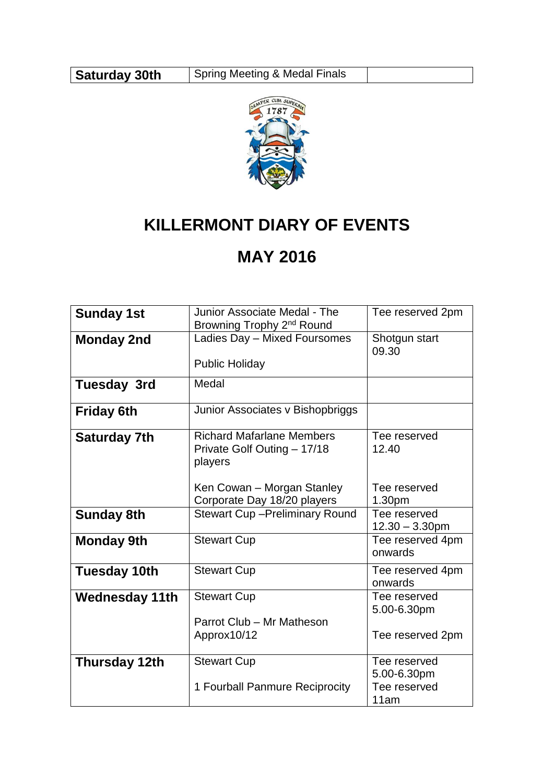

# **KILLERMONT DIARY OF EVENTS**

#### **MAY 2016**

| <b>Sunday 1st</b>     | Junior Associate Medal - The                                               | Tee reserved 2pm                  |
|-----------------------|----------------------------------------------------------------------------|-----------------------------------|
|                       | Browning Trophy 2 <sup>nd</sup> Round                                      |                                   |
| <b>Monday 2nd</b>     | Ladies Day - Mixed Foursomes                                               | Shotgun start<br>09.30            |
|                       | <b>Public Holiday</b>                                                      |                                   |
| <b>Tuesday 3rd</b>    | Medal                                                                      |                                   |
| <b>Friday 6th</b>     | Junior Associates v Bishopbriggs                                           |                                   |
| <b>Saturday 7th</b>   | <b>Richard Mafarlane Members</b><br>Private Golf Outing - 17/18<br>players | Tee reserved<br>12.40             |
|                       | Ken Cowan - Morgan Stanley<br>Corporate Day 18/20 players                  | Tee reserved<br>1.30pm            |
| <b>Sunday 8th</b>     | <b>Stewart Cup-Preliminary Round</b>                                       | Tee reserved<br>$12.30 - 3.30$ pm |
| <b>Monday 9th</b>     | <b>Stewart Cup</b>                                                         | Tee reserved 4pm<br>onwards       |
| <b>Tuesday 10th</b>   | <b>Stewart Cup</b>                                                         | Tee reserved 4pm<br>onwards       |
| <b>Wednesday 11th</b> | <b>Stewart Cup</b>                                                         | Tee reserved<br>5.00-6.30pm       |
|                       | Parrot Club - Mr Matheson                                                  |                                   |
|                       | Approx10/12                                                                | Tee reserved 2pm                  |
| Thursday 12th         | <b>Stewart Cup</b>                                                         | Tee reserved                      |
|                       |                                                                            | 5.00-6.30pm                       |
|                       | 1 Fourball Panmure Reciprocity                                             | Tee reserved                      |
|                       |                                                                            | 11am                              |